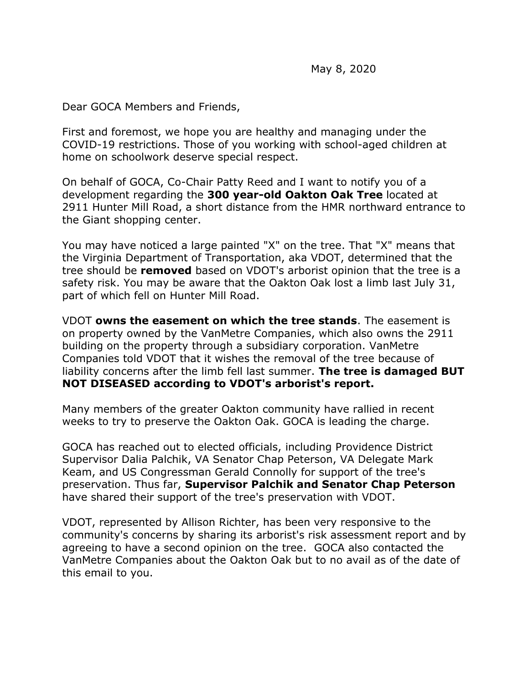Dear GOCA Members and Friends,

First and foremost, we hope you are healthy and managing under the COVID-19 restrictions. Those of you working with school-aged children at home on schoolwork deserve special respect.

On behalf of GOCA, Co-Chair Patty Reed and I want to notify you of a development regarding the **300 year-old Oakton Oak Tree** located at 2911 Hunter Mill Road, a short distance from the HMR northward entrance to the Giant shopping center.

You may have noticed a large painted "X" on the tree. That "X" means that the Virginia Department of Transportation, aka VDOT, determined that the tree should be **removed** based on VDOT's arborist opinion that the tree is a safety risk. You may be aware that the Oakton Oak lost a limb last July 31, part of which fell on Hunter Mill Road.

VDOT **owns the easement on which the tree stands**. The easement is on property owned by the VanMetre Companies, which also owns the 2911 building on the property through a subsidiary corporation. VanMetre Companies told VDOT that it wishes the removal of the tree because of liability concerns after the limb fell last summer. **The tree is damaged BUT NOT DISEASED according to VDOT's arborist's report.**

Many members of the greater Oakton community have rallied in recent weeks to try to preserve the Oakton Oak. GOCA is leading the charge.

GOCA has reached out to elected officials, including Providence District Supervisor Dalia Palchik, VA Senator Chap Peterson, VA Delegate Mark Keam, and US Congressman Gerald Connolly for support of the tree's preservation. Thus far, **Supervisor Palchik and Senator Chap Peterson** have shared their support of the tree's preservation with VDOT.

VDOT, represented by Allison Richter, has been very responsive to the community's concerns by sharing its arborist's risk assessment report and by agreeing to have a second opinion on the tree. GOCA also contacted the VanMetre Companies about the Oakton Oak but to no avail as of the date of this email to you.